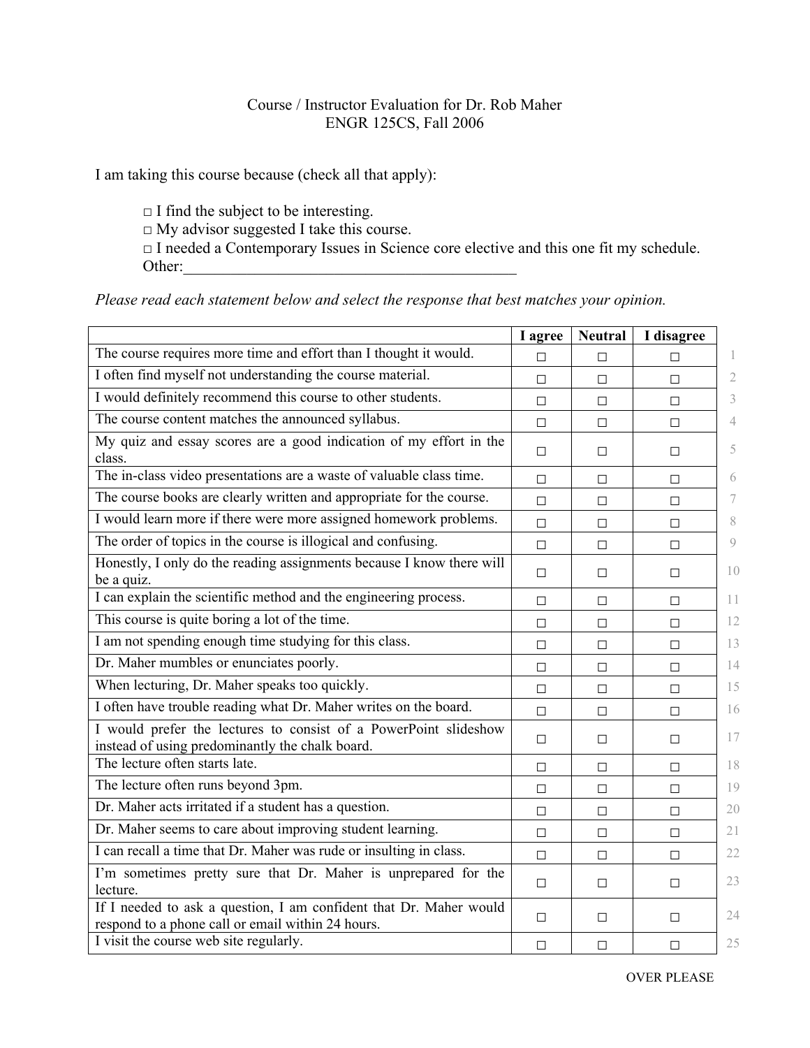## Course / Instructor Evaluation for Dr. Rob Maher ENGR 125CS, Fall 2006

I am taking this course because (check all that apply):

 $\Box$  I find the subject to be interesting.  $\Box$  My advisor suggested I take this course. □ I needed a Contemporary Issues in Science core elective and this one fit my schedule. Other:

*Please read each statement below and select the response that best matches your opinion.*

|                                                                                                                         | I agree | <b>Neutral</b> | I disagree |               |
|-------------------------------------------------------------------------------------------------------------------------|---------|----------------|------------|---------------|
| The course requires more time and effort than I thought it would.                                                       | $\Box$  | $\Box$         | П          | 1             |
| I often find myself not understanding the course material.                                                              | $\Box$  | $\Box$         | П          | 2             |
| I would definitely recommend this course to other students.                                                             | $\Box$  | $\Box$         | $\Box$     | 3             |
| The course content matches the announced syllabus.                                                                      | $\Box$  | П              | П          | 4             |
| My quiz and essay scores are a good indication of my effort in the<br>class.                                            | $\Box$  | $\Box$         | $\Box$     | 5             |
| The in-class video presentations are a waste of valuable class time.                                                    | $\Box$  | $\Box$         | $\Box$     | 6             |
| The course books are clearly written and appropriate for the course.                                                    | $\Box$  | $\Box$         | $\Box$     | 7             |
| I would learn more if there were more assigned homework problems.                                                       | $\Box$  | $\Box$         | $\Box$     | 8             |
| The order of topics in the course is illogical and confusing.                                                           | $\Box$  | $\Box$         | $\Box$     | $\mathcal{Q}$ |
| Honestly, I only do the reading assignments because I know there will<br>be a quiz.                                     | $\Box$  | П              | □          | 10            |
| I can explain the scientific method and the engineering process.                                                        | $\Box$  | $\Box$         | $\Box$     | 11            |
| This course is quite boring a lot of the time.                                                                          | $\Box$  | $\Box$         | $\Box$     | 12            |
| I am not spending enough time studying for this class.                                                                  | $\Box$  | П              | П          | 13            |
| Dr. Maher mumbles or enunciates poorly.                                                                                 | $\Box$  | $\Box$         | $\Box$     | 14            |
| When lecturing, Dr. Maher speaks too quickly.                                                                           | $\Box$  | $\Box$         | $\Box$     | 15            |
| I often have trouble reading what Dr. Maher writes on the board.                                                        | $\Box$  | $\Box$         | $\Box$     | 16            |
| I would prefer the lectures to consist of a PowerPoint slideshow<br>instead of using predominantly the chalk board.     | $\Box$  | $\Box$         | $\Box$     | 17            |
| The lecture often starts late.                                                                                          | $\Box$  | $\Box$         | $\Box$     | 18            |
| The lecture often runs beyond 3pm.                                                                                      | $\Box$  | $\Box$         | $\Box$     | 19            |
| Dr. Maher acts irritated if a student has a question.                                                                   | $\Box$  | $\Box$         | $\Box$     | 20            |
| Dr. Maher seems to care about improving student learning.                                                               | $\Box$  | $\Box$         | $\Box$     | 21            |
| I can recall a time that Dr. Maher was rude or insulting in class.                                                      | $\Box$  | $\Box$         | $\Box$     | 22            |
| I'm sometimes pretty sure that Dr. Maher is unprepared for the<br>lecture.                                              | $\Box$  | $\Box$         | $\Box$     | 23            |
| If I needed to ask a question, I am confident that Dr. Maher would<br>respond to a phone call or email within 24 hours. | $\Box$  | $\Box$         | $\Box$     | 24            |
| I visit the course web site regularly.                                                                                  | $\Box$  | $\Box$         | $\Box$     | 25            |

OVER PLEASE